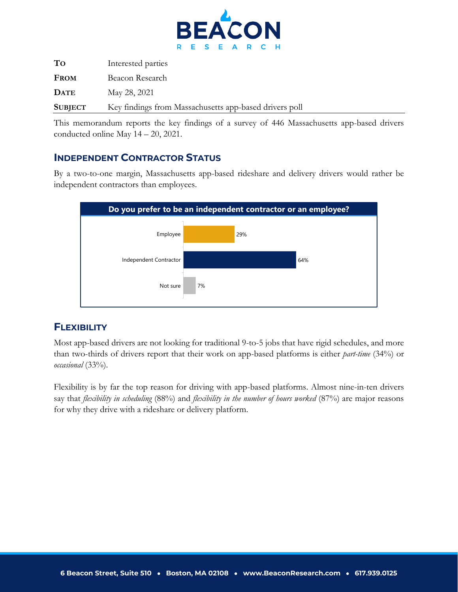

| To             | Interested parties                                     |
|----------------|--------------------------------------------------------|
| <b>FROM</b>    | Beacon Research                                        |
| <b>DATE</b>    | May 28, 2021                                           |
| <b>SUBJECT</b> | Key findings from Massachusetts app-based drivers poll |

This memorandum reports the key findings of a survey of 446 Massachusetts app-based drivers conducted online May 14 – 20, 2021.

## **INDEPENDENT CONTRACTOR STATUS**

By a two-to-one margin, Massachusetts app-based rideshare and delivery drivers would rather be independent contractors than employees.



## **FLEXIBILITY**

Most app-based drivers are not looking for traditional 9-to-5 jobs that have rigid schedules, and more than two-thirds of drivers report that their work on app-based platforms is either *part-time* (34%) or *occasional* (33%).

Flexibility is by far the top reason for driving with app-based platforms. Almost nine-in-ten drivers say that *flexibility in scheduling* (88%) and *flexibility in the number of hours worked* (87%) are major reasons for why they drive with a rideshare or delivery platform.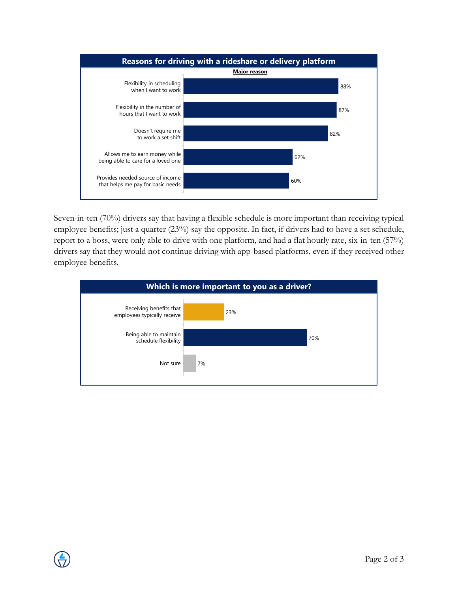

Seven-in-ten (70%) drivers say that having a flexible schedule is more important than receiving typical **2** employee benefits; just a quarter (23%) say the opposite. In fact, if drivers had to have a set schedule, report to a boss, were only able to drive with one platform, and had a flat hourly rate, six-in-ten (57%) drivers say that they would not continue driving with app-based platforms, even if they received other employee benefits.